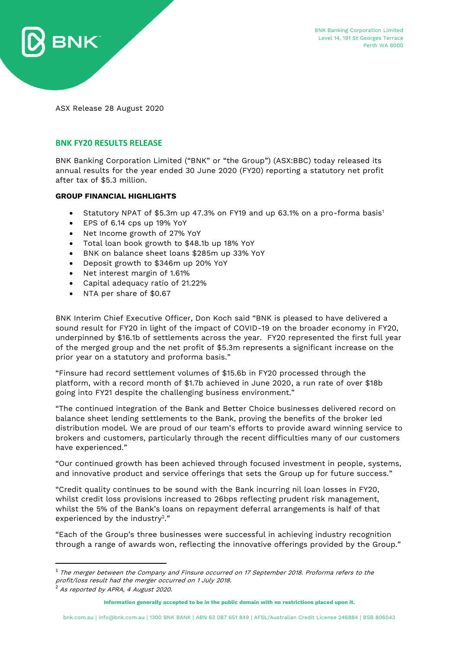

ASX Release 28 August 2020

## **BNK FY20 RESULTS RELEASE**

BNK Banking Corporation Limited ("BNK" or "the Group") (ASX:BBC) today released its annual results for the year ended 30 June 2020 (FY20) reporting a statutory net profit after tax of \$5.3 million.

### **GROUP FINANCIAL HIGHLIGHTS**

- Statutory NPAT of \$5.3m up 47.3% on FY19 and up 63.1% on a pro-forma basis<sup>1</sup>
- EPS of 6.14 cps up 19% YoY
- Net Income growth of 27% YoY
- Total loan book growth to \$48.1b up 18% YoY
- BNK on balance sheet loans \$285m up 33% YoY
- Deposit growth to \$346m up 20% YoY
- Net interest margin of 1.61%
- Capital adequacy ratio of 21.22%
- NTA per share of \$0.67

BNK Interim Chief Executive Officer, Don Koch said "BNK is pleased to have delivered a sound result for FY20 in light of the impact of COVID-19 on the broader economy in FY20, underpinned by \$16.1b of settlements across the year. FY20 represented the first full year of the merged group and the net profit of \$5.3m represents a significant increase on the prior year on a statutory and proforma basis."

"Finsure had record settlement volumes of \$15.6b in FY20 processed through the platform, with a record month of \$1.7b achieved in June 2020, a run rate of over \$18b going into FY21 despite the challenging business environment."

"The continued integration of the Bank and Better Choice businesses delivered record on balance sheet lending settlements to the Bank, proving the benefits of the broker led distribution model. We are proud of our team's efforts to provide award winning service to brokers and customers, particularly through the recent difficulties many of our customers have experienced."

"Our continued growth has been achieved through focused investment in people, systems, and innovative product and service offerings that sets the Group up for future success."

"Credit quality continues to be sound with the Bank incurring nil loan losses in FY20, whilst credit loss provisions increased to 26bps reflecting prudent risk management, whilst the 5% of the Bank's loans on repayment deferral arrangements is half of that experienced by the industry<sup>2</sup>."

"Each of the Group's three businesses were successful in achieving industry recognition through a range of awards won, reflecting the innovative offerings provided by the Group."

<sup>2</sup> As reported by APRA, 4 August 2020.

 $\overline{a}$ 

 $1$  The merger between the Company and Finsure occurred on 17 September 2018. Proforma refers to the profit/loss result had the merger occurred on 1 July 2018.

**Information generally accepted to be in the public domain with no restrictions placed upon it.**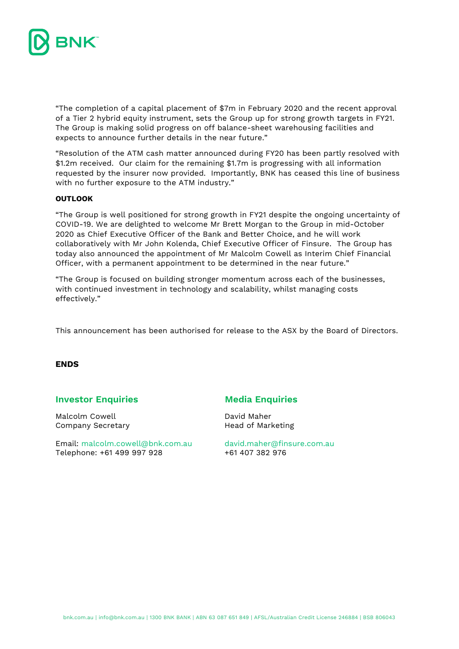

"The completion of a capital placement of \$7m in February 2020 and the recent approval of a Tier 2 hybrid equity instrument, sets the Group up for strong growth targets in FY21. The Group is making solid progress on off balance-sheet warehousing facilities and expects to announce further details in the near future."

"Resolution of the ATM cash matter announced during FY20 has been partly resolved with \$1.2m received. Our claim for the remaining \$1.7m is progressing with all information requested by the insurer now provided. Importantly, BNK has ceased this line of business with no further exposure to the ATM industry."

### **OUTLOOK**

"The Group is well positioned for strong growth in FY21 despite the ongoing uncertainty of COVID-19. We are delighted to welcome Mr Brett Morgan to the Group in mid-October 2020 as Chief Executive Officer of the Bank and Better Choice, and he will work collaboratively with Mr John Kolenda, Chief Executive Officer of Finsure. The Group has today also announced the appointment of Mr Malcolm Cowell as Interim Chief Financial Officer, with a permanent appointment to be determined in the near future."

"The Group is focused on building stronger momentum across each of the businesses, with continued investment in technology and scalability, whilst managing costs effectively."

This announcement has been authorised for release to the ASX by the Board of Directors.

#### **ENDS**

#### **Investor Enquiries Media Enquiries**

Malcolm Cowell **David Maher** Company Secretary **Exercise Secretary** Head of Marketing

Email: [malcolm.cowell@bnk.com.au](mailto:malcolm.cowell@bnk.com.au) [david.maher@finsure.com.au](mailto:david.maher@finsure.com.au) Telephone: +61 499 997 928 +61 407 382 976